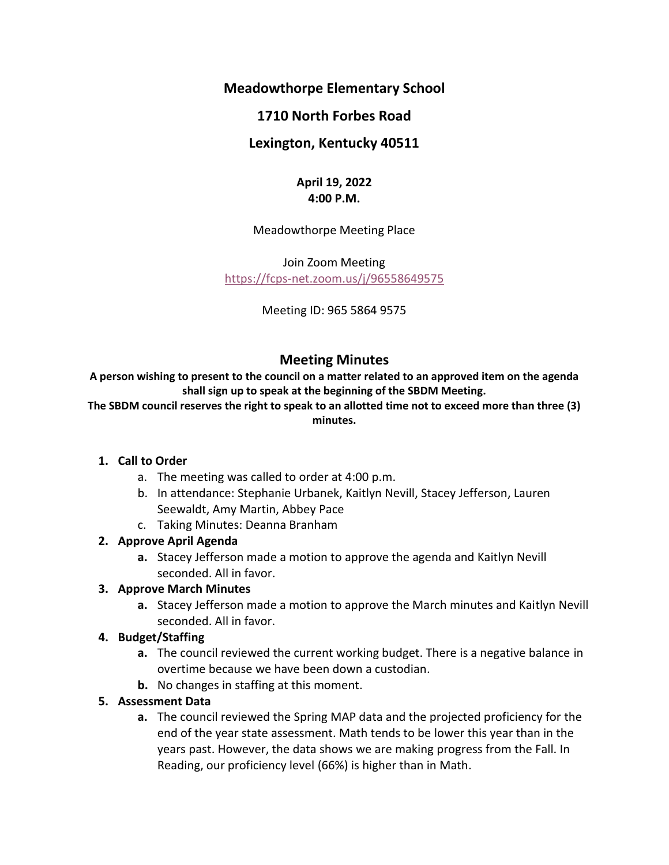**Meadowthorpe Elementary School**

# **1710 North Forbes Road**

## **Lexington, Kentucky 40511**

## **April 19, 2022 4:00 P.M.**

Meadowthorpe Meeting Place

Join Zoom Meeting <https://fcps-net.zoom.us/j/96558649575>

Meeting ID: 965 5864 9575

# **Meeting Minutes**

**A person wishing to present to the council on a matter related to an approved item on the agenda shall sign up to speak at the beginning of the SBDM Meeting.**

**The SBDM council reserves the right to speak to an allotted time not to exceed more than three (3) minutes.**

### **1. Call to Order**

- a. The meeting was called to order at 4:00 p.m.
- b. In attendance: Stephanie Urbanek, Kaitlyn Nevill, Stacey Jefferson, Lauren Seewaldt, Amy Martin, Abbey Pace
- c. Taking Minutes: Deanna Branham

### **2. Approve April Agenda**

**a.** Stacey Jefferson made a motion to approve the agenda and Kaitlyn Nevill seconded. All in favor.

### **3. Approve March Minutes**

**a.** Stacey Jefferson made a motion to approve the March minutes and Kaitlyn Nevill seconded. All in favor.

### **4. Budget/Staffing**

- **a.** The council reviewed the current working budget. There is a negative balance in overtime because we have been down a custodian.
- **b.** No changes in staffing at this moment.

### **5. Assessment Data**

**a.** The council reviewed the Spring MAP data and the projected proficiency for the end of the year state assessment. Math tends to be lower this year than in the years past. However, the data shows we are making progress from the Fall. In Reading, our proficiency level (66%) is higher than in Math.